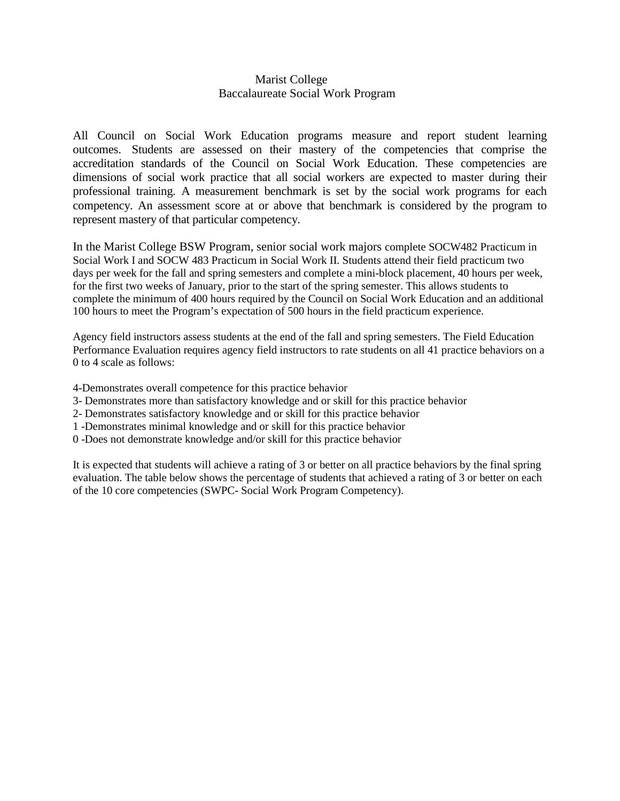## Marist College Baccalaureate Social Work Program

All Council on Social Work Education programs measure and report student learning outcomes. Students are assessed on their mastery of the competencies that comprise the accreditation standards of the Council on Social Work Education. These competencies are dimensions of social work practice that all social workers are expected to master during their professional training. A measurement benchmark is set by the social work programs for each competency. An assessment score at or above that benchmark is considered by the program to represent mastery of that particular competency.

In the Marist College BSW Program, senior social work majors complete SOCW482 Practicum in Social Work I and SOCW 483 Practicum in Social Work II. Students attend their field practicum two days per week for the fall and spring semesters and complete a mini-block placement, 40 hours per week, for the first two weeks of January, prior to the start of the spring semester. This allows students to complete the minimum of 400 hours required by the Council on Social Work Education and an additional 100 hours to meet the Program's expectation of 500 hours in the field practicum experience.

Agency field instructors assess students at the end of the fall and spring semesters. The Field Education Performance Evaluation requires agency field instructors to rate students on all 41 practice behaviors on a 0 to 4 scale as follows:

- 4-Demonstrates overall competence for this practice behavior
- 3- Demonstrates more than satisfactory knowledge and or skill for this practice behavior
- 2- Demonstrates satisfactory knowledge and or skill for this practice behavior
- 1 -Demonstrates minimal knowledge and or skill for this practice behavior
- 0 -Does not demonstrate knowledge and/or skill for this practice behavior

It is expected that students will achieve a rating of 3 or better on all practice behaviors by the final spring evaluation. The table below shows the percentage of students that achieved a rating of 3 or better on each of the 10 core competencies (SWPC- Social Work Program Competency).